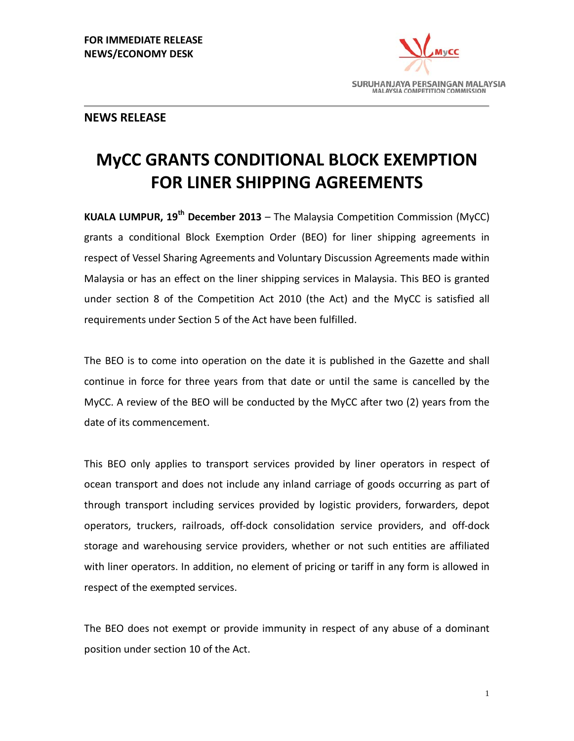

# **NEWS RELEASE**

# **MyCC GRANTS CONDITIONAL BLOCK EXEMPTION FOR LINER SHIPPING AGREEMENTS**

**KUALA LUMPUR, 19th December 2013** – The Malaysia Competition Commission (MyCC) grants a conditional Block Exemption Order (BEO) for liner shipping agreements in respect of Vessel Sharing Agreements and Voluntary Discussion Agreements made within Malaysia or has an effect on the liner shipping services in Malaysia. This BEO is granted under section 8 of the Competition Act 2010 (the Act) and the MyCC is satisfied all requirements under Section 5 of the Act have been fulfilled.

The BEO is to come into operation on the date it is published in the Gazette and shall continue in force for three years from that date or until the same is cancelled by the MyCC. A review of the BEO will be conducted by the MyCC after two (2) years from the date of its commencement.

This BEO only applies to transport services provided by liner operators in respect of ocean transport and does not include any inland carriage of goods occurring as part of through transport including services provided by logistic providers, forwarders, depot operators, truckers, railroads, off-dock consolidation service providers, and off-dock storage and warehousing service providers, whether or not such entities are affiliated with liner operators. In addition, no element of pricing or tariff in any form is allowed in respect of the exempted services.

The BEO does not exempt or provide immunity in respect of any abuse of a dominant position under section 10 of the Act.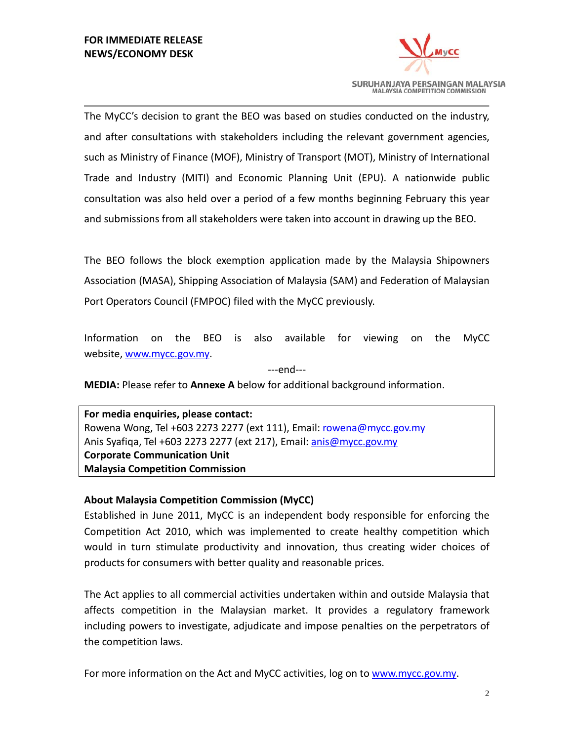

The MyCC's decision to grant the BEO was based on studies conducted on the industry, and after consultations with stakeholders including the relevant government agencies, such as Ministry of Finance (MOF), Ministry of Transport (MOT), Ministry of International Trade and Industry (MITI) and Economic Planning Unit (EPU). A nationwide public consultation was also held over a period of a few months beginning February this year and submissions from all stakeholders were taken into account in drawing up the BEO.

The BEO follows the block exemption application made by the Malaysia Shipowners Association (MASA), Shipping Association of Malaysia (SAM) and Federation of Malaysian Port Operators Council (FMPOC) filed with the MyCC previously.

Information on the BEO is also available for viewing on the MyCC website[, www.mycc.gov.my.](http://www.mycc.gov.my/)

---end---

**MEDIA:** Please refer to **Annexe A** below for additional background information.

**For media enquiries, please contact:** Rowena Wong, Tel +603 2273 2277 (ext 111), Email: [rowena@mycc.gov.my](mailto:rowena@mycc.gov.my) Anis Syafiqa, Tel +603 2273 2277 (ext 217), Email: [anis@mycc.gov.my](mailto:anis@mycc.gov.my) **Corporate Communication Unit Malaysia Competition Commission** 

## **About Malaysia Competition Commission (MyCC)**

Established in June 2011, MyCC is an independent body responsible for enforcing the Competition Act 2010, which was implemented to create healthy competition which would in turn stimulate productivity and innovation, thus creating wider choices of products for consumers with better quality and reasonable prices.

The Act applies to all commercial activities undertaken within and outside Malaysia that affects competition in the Malaysian market. It provides a regulatory framework including powers to investigate, adjudicate and impose penalties on the perpetrators of the competition laws.

For more information on the Act and MyCC activities, log on to [www.mycc.gov.my.](http://www.mycc.gov.my/)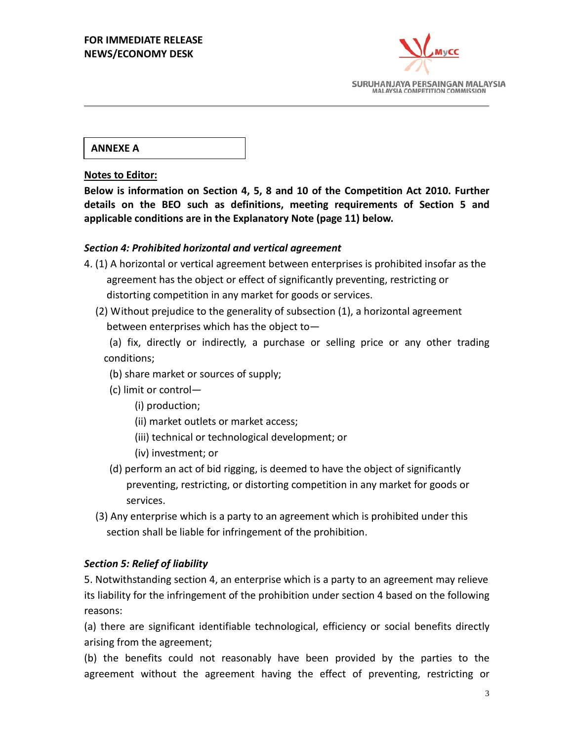

**ANNEXE A**

## **Notes to Editor:**

**Below is information on Section 4, 5, 8 and 10 of the Competition Act 2010. Further details on the BEO such as definitions, meeting requirements of Section 5 and applicable conditions are in the Explanatory Note (page 11) below.**

## *Section 4: Prohibited horizontal and vertical agreement*

- 4. (1) A horizontal or vertical agreement between enterprises is prohibited insofar as the agreement has the object or effect of significantly preventing, restricting or distorting competition in any market for goods or services.
	- (2) Without prejudice to the generality of subsection (1), a horizontal agreement between enterprises which has the object to—

(a) fix, directly or indirectly, a purchase or selling price or any other trading conditions;

- (b) share market or sources of supply;
- (c) limit or control—
	- (i) production;
	- (ii) market outlets or market access;
	- (iii) technical or technological development; or
	- (iv) investment; or
- (d) perform an act of bid rigging, is deemed to have the object of significantly preventing, restricting, or distorting competition in any market for goods or services.
- (3) Any enterprise which is a party to an agreement which is prohibited under this section shall be liable for infringement of the prohibition.

## *Section 5: Relief of liability*

5. Notwithstanding section 4, an enterprise which is a party to an agreement may relieve its liability for the infringement of the prohibition under section 4 based on the following reasons:

(a) there are significant identifiable technological, efficiency or social benefits directly arising from the agreement;

(b) the benefits could not reasonably have been provided by the parties to the agreement without the agreement having the effect of preventing, restricting or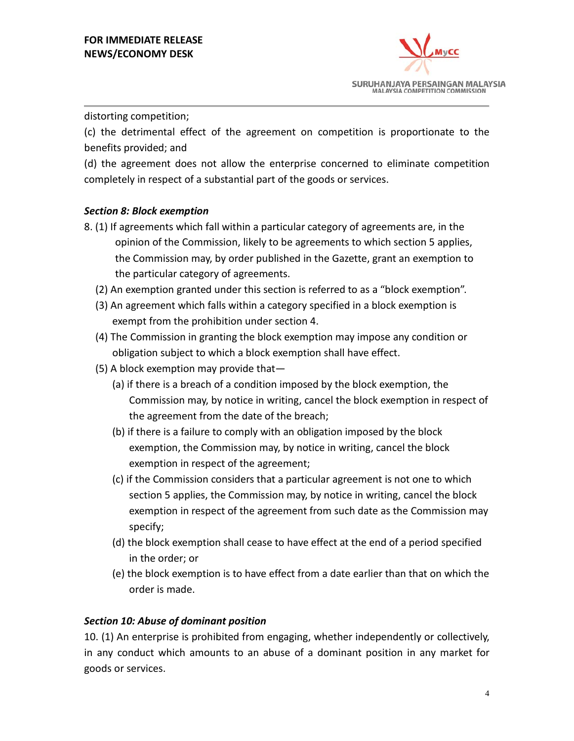

## distorting competition;

(c) the detrimental effect of the agreement on competition is proportionate to the benefits provided; and

(d) the agreement does not allow the enterprise concerned to eliminate competition completely in respect of a substantial part of the goods or services.

# *Section 8: Block exemption*

- 8. (1) If agreements which fall within a particular category of agreements are, in the opinion of the Commission, likely to be agreements to which section 5 applies, the Commission may, by order published in the Gazette, grant an exemption to the particular category of agreements.
	- (2) An exemption granted under this section is referred to as a "block exemption".
	- (3) An agreement which falls within a category specified in a block exemption is exempt from the prohibition under section 4.
	- (4) The Commission in granting the block exemption may impose any condition or obligation subject to which a block exemption shall have effect.
	- (5) A block exemption may provide that—
		- (a) if there is a breach of a condition imposed by the block exemption, the Commission may, by notice in writing, cancel the block exemption in respect of the agreement from the date of the breach;
		- (b) if there is a failure to comply with an obligation imposed by the block exemption, the Commission may, by notice in writing, cancel the block exemption in respect of the agreement;
		- (c) if the Commission considers that a particular agreement is not one to which section 5 applies, the Commission may, by notice in writing, cancel the block exemption in respect of the agreement from such date as the Commission may specify;
		- (d) the block exemption shall cease to have effect at the end of a period specified in the order; or
		- (e) the block exemption is to have effect from a date earlier than that on which the order is made.

## *Section 10: Abuse of dominant position*

10. (1) An enterprise is prohibited from engaging, whether independently or collectively, in any conduct which amounts to an abuse of a dominant position in any market for goods or services.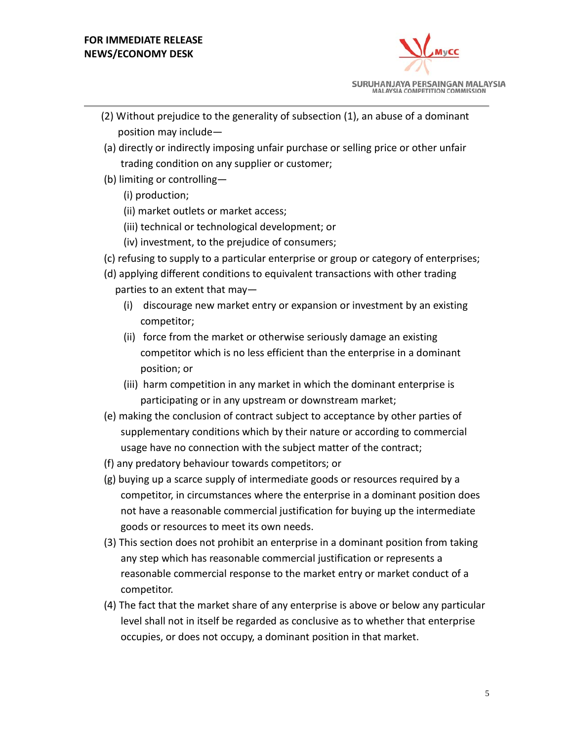

- (2) Without prejudice to the generality of subsection (1), an abuse of a dominant position may include—
- (a) directly or indirectly imposing unfair purchase or selling price or other unfair trading condition on any supplier or customer;
- (b) limiting or controlling—
	- (i) production;
	- (ii) market outlets or market access;
	- (iii) technical or technological development; or
	- (iv) investment, to the prejudice of consumers;
- (c) refusing to supply to a particular enterprise or group or category of enterprises;
- (d) applying different conditions to equivalent transactions with other trading parties to an extent that may—
	- (i) discourage new market entry or expansion or investment by an existing competitor;
	- (ii) force from the market or otherwise seriously damage an existing competitor which is no less efficient than the enterprise in a dominant position; or
	- (iii) harm competition in any market in which the dominant enterprise is participating or in any upstream or downstream market;
- (e) making the conclusion of contract subject to acceptance by other parties of supplementary conditions which by their nature or according to commercial usage have no connection with the subject matter of the contract;
- (f) any predatory behaviour towards competitors; or
- (g) buying up a scarce supply of intermediate goods or resources required by a competitor, in circumstances where the enterprise in a dominant position does not have a reasonable commercial justification for buying up the intermediate goods or resources to meet its own needs.
- (3) This section does not prohibit an enterprise in a dominant position from taking any step which has reasonable commercial justification or represents a reasonable commercial response to the market entry or market conduct of a competitor.
- (4) The fact that the market share of any enterprise is above or below any particular level shall not in itself be regarded as conclusive as to whether that enterprise occupies, or does not occupy, a dominant position in that market.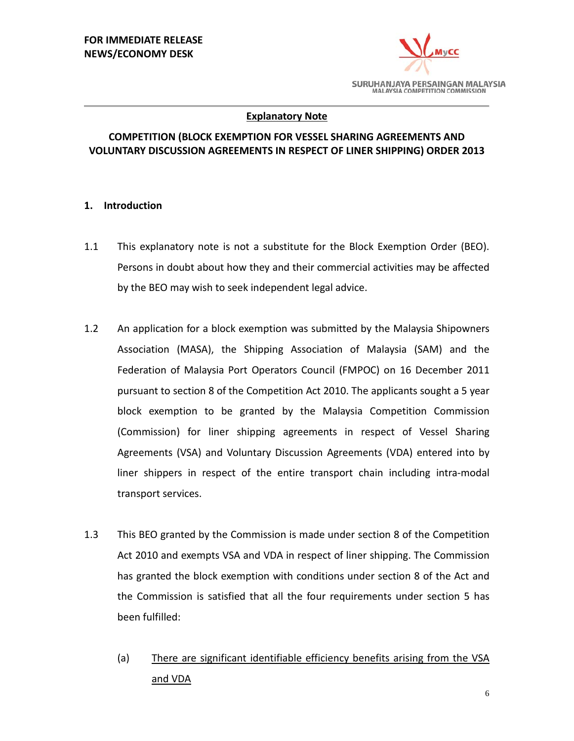

## **Explanatory Note**

# **COMPETITION (BLOCK EXEMPTION FOR VESSEL SHARING AGREEMENTS AND VOLUNTARY DISCUSSION AGREEMENTS IN RESPECT OF LINER SHIPPING) ORDER 2013**

## **1. Introduction**

- 1.1 This explanatory note is not a substitute for the Block Exemption Order (BEO). Persons in doubt about how they and their commercial activities may be affected by the BEO may wish to seek independent legal advice.
- 1.2 An application for a block exemption was submitted by the Malaysia Shipowners Association (MASA), the Shipping Association of Malaysia (SAM) and the Federation of Malaysia Port Operators Council (FMPOC) on 16 December 2011 pursuant to section 8 of the Competition Act 2010. The applicants sought a 5 year block exemption to be granted by the Malaysia Competition Commission (Commission) for liner shipping agreements in respect of Vessel Sharing Agreements (VSA) and Voluntary Discussion Agreements (VDA) entered into by liner shippers in respect of the entire transport chain including intra-modal transport services.
- 1.3 This BEO granted by the Commission is made under section 8 of the Competition Act 2010 and exempts VSA and VDA in respect of liner shipping. The Commission has granted the block exemption with conditions under section 8 of the Act and the Commission is satisfied that all the four requirements under section 5 has been fulfilled:
	- (a) There are significant identifiable efficiency benefits arising from the VSA and VDA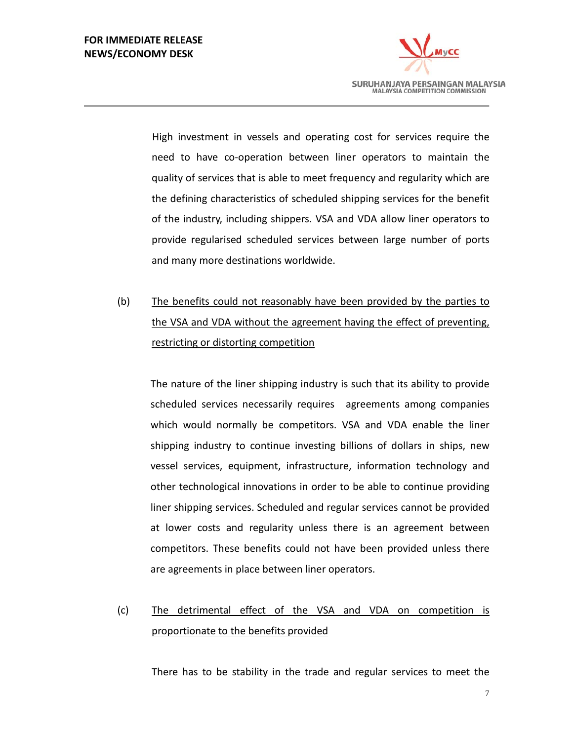# **FOR IMMEDIATE RELEASE NEWS/ECONOMY DESK**



High investment in vessels and operating cost for services require the need to have co-operation between liner operators to maintain the quality of services that is able to meet frequency and regularity which are the defining characteristics of scheduled shipping services for the benefit of the industry, including shippers. VSA and VDA allow liner operators to provide regularised scheduled services between large number of ports and many more destinations worldwide.

(b) The benefits could not reasonably have been provided by the parties to the VSA and VDA without the agreement having the effect of preventing, restricting or distorting competition

The nature of the liner shipping industry is such that its ability to provide scheduled services necessarily requires agreements among companies which would normally be competitors. VSA and VDA enable the liner shipping industry to continue investing billions of dollars in ships, new vessel services, equipment, infrastructure, information technology and other technological innovations in order to be able to continue providing liner shipping services. Scheduled and regular services cannot be provided at lower costs and regularity unless there is an agreement between competitors. These benefits could not have been provided unless there are agreements in place between liner operators.

#### (c) The detrimental effect of the VSA and VDA on competition is proportionate to the benefits provided

There has to be stability in the trade and regular services to meet the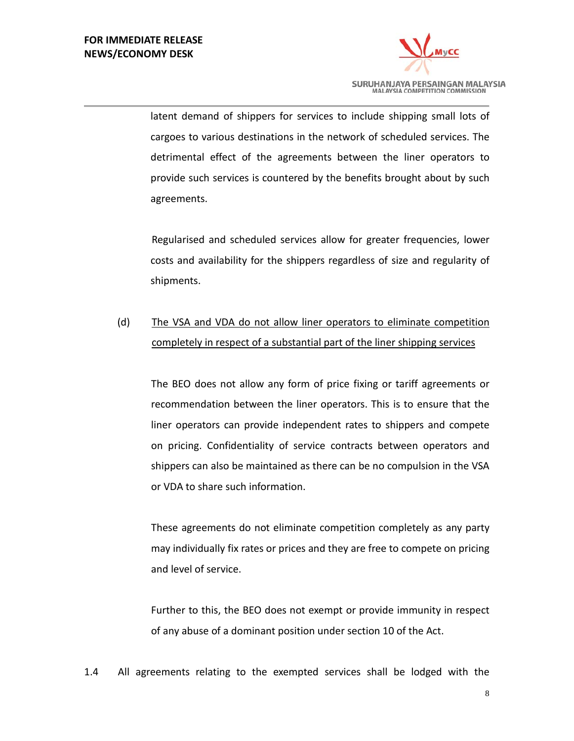

latent demand of shippers for services to include shipping small lots of cargoes to various destinations in the network of scheduled services. The detrimental effect of the agreements between the liner operators to provide such services is countered by the benefits brought about by such agreements.

Regularised and scheduled services allow for greater frequencies, lower costs and availability for the shippers regardless of size and regularity of shipments.

#### (d) The VSA and VDA do not allow liner operators to eliminate competition completely in respect of a substantial part of the liner shipping services

The BEO does not allow any form of price fixing or tariff agreements or recommendation between the liner operators. This is to ensure that the liner operators can provide independent rates to shippers and compete on pricing. Confidentiality of service contracts between operators and shippers can also be maintained as there can be no compulsion in the VSA or VDA to share such information.

These agreements do not eliminate competition completely as any party may individually fix rates or prices and they are free to compete on pricing and level of service.

Further to this, the BEO does not exempt or provide immunity in respect of any abuse of a dominant position under section 10 of the Act.

1.4 All agreements relating to the exempted services shall be lodged with the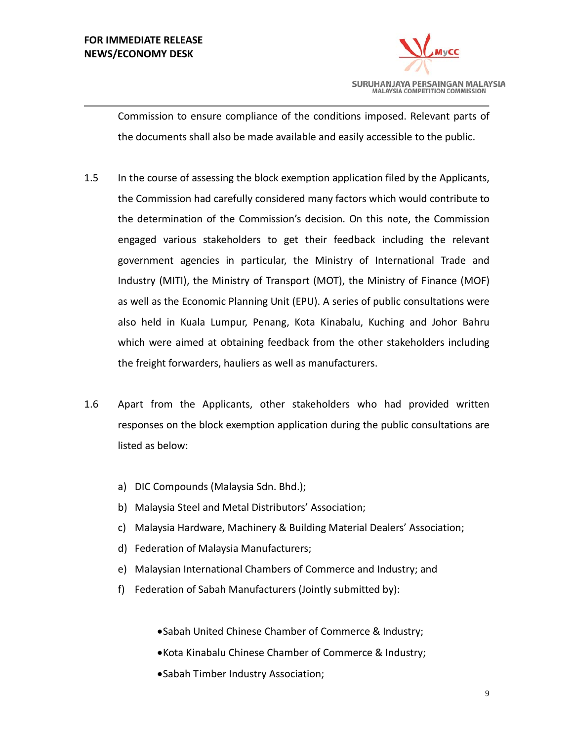# **FOR IMMEDIATE RELEASE NEWS/ECONOMY DESK**



Commission to ensure compliance of the conditions imposed. Relevant parts of the documents shall also be made available and easily accessible to the public.

- 1.5 In the course of assessing the block exemption application filed by the Applicants, the Commission had carefully considered many factors which would contribute to the determination of the Commission's decision. On this note, the Commission engaged various stakeholders to get their feedback including the relevant government agencies in particular, the Ministry of International Trade and Industry (MITI), the Ministry of Transport (MOT), the Ministry of Finance (MOF) as well as the Economic Planning Unit (EPU). A series of public consultations were also held in Kuala Lumpur, Penang, Kota Kinabalu, Kuching and Johor Bahru which were aimed at obtaining feedback from the other stakeholders including the freight forwarders, hauliers as well as manufacturers.
- 1.6 Apart from the Applicants, other stakeholders who had provided written responses on the block exemption application during the public consultations are listed as below:
	- a) DIC Compounds (Malaysia Sdn. Bhd.);
	- b) Malaysia Steel and Metal Distributors' Association;
	- c) Malaysia Hardware, Machinery & Building Material Dealers' Association;
	- d) Federation of Malaysia Manufacturers;
	- e) Malaysian International Chambers of Commerce and Industry; and
	- f) Federation of Sabah Manufacturers (Jointly submitted by):
		- •Sabah United Chinese Chamber of Commerce & Industry;
		- •Kota Kinabalu Chinese Chamber of Commerce & Industry;
		- •Sabah Timber Industry Association;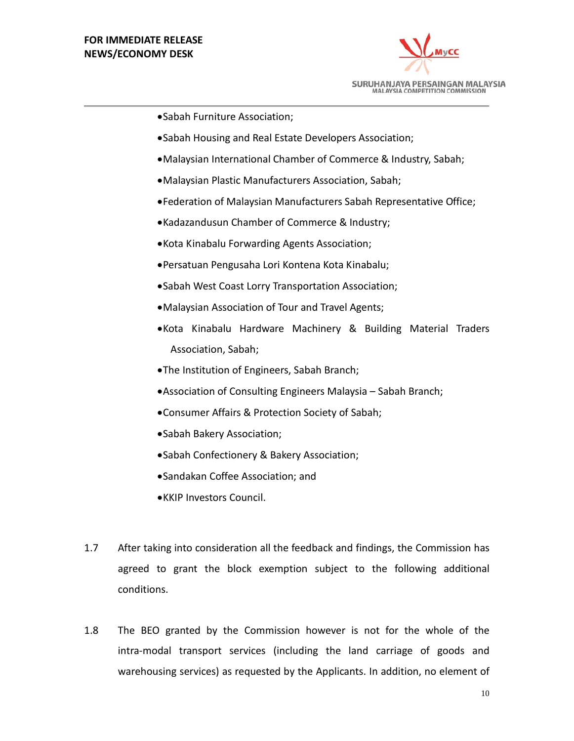

- •Sabah Furniture Association;
- •Sabah Housing and Real Estate Developers Association;
- •Malaysian International Chamber of Commerce & Industry, Sabah;
- •Malaysian Plastic Manufacturers Association, Sabah;
- •Federation of Malaysian Manufacturers Sabah Representative Office;
- •Kadazandusun Chamber of Commerce & Industry;
- •Kota Kinabalu Forwarding Agents Association;
- •Persatuan Pengusaha Lori Kontena Kota Kinabalu;
- •Sabah West Coast Lorry Transportation Association;
- •Malaysian Association of Tour and Travel Agents;
- •Kota Kinabalu Hardware Machinery & Building Material Traders Association, Sabah;
- •The Institution of Engineers, Sabah Branch;
- •Association of Consulting Engineers Malaysia Sabah Branch;
- •Consumer Affairs & Protection Society of Sabah;
- •Sabah Bakery Association;
- •Sabah Confectionery & Bakery Association;
- •Sandakan Coffee Association; and
- •KKIP Investors Council.
- 1.7 After taking into consideration all the feedback and findings, the Commission has agreed to grant the block exemption subject to the following additional conditions.
- 1.8 The BEO granted by the Commission however is not for the whole of the intra-modal transport services (including the land carriage of goods and warehousing services) as requested by the Applicants. In addition, no element of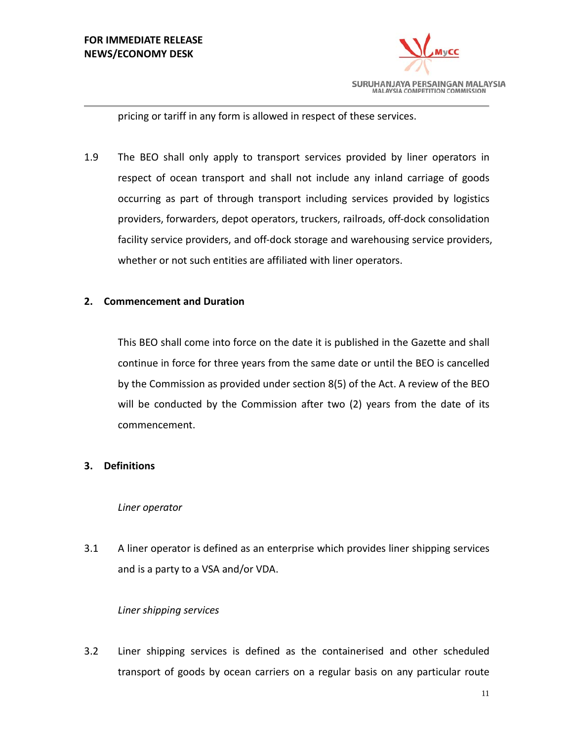

pricing or tariff in any form is allowed in respect of these services.

1.9 The BEO shall only apply to transport services provided by liner operators in respect of ocean transport and shall not include any inland carriage of goods occurring as part of through transport including services provided by logistics providers, forwarders, depot operators, truckers, railroads, off-dock consolidation facility service providers, and off-dock storage and warehousing service providers, whether or not such entities are affiliated with liner operators.

## **2. Commencement and Duration**

This BEO shall come into force on the date it is published in the Gazette and shall continue in force for three years from the same date or until the BEO is cancelled by the Commission as provided under section 8(5) of the Act. A review of the BEO will be conducted by the Commission after two (2) years from the date of its commencement.

## **3. Definitions**

## *Liner operator*

3.1 A liner operator is defined as an enterprise which provides liner shipping services and is a party to a VSA and/or VDA.

## *Liner shipping services*

3.2 Liner shipping services is defined as the containerised and other scheduled transport of goods by ocean carriers on a regular basis on any particular route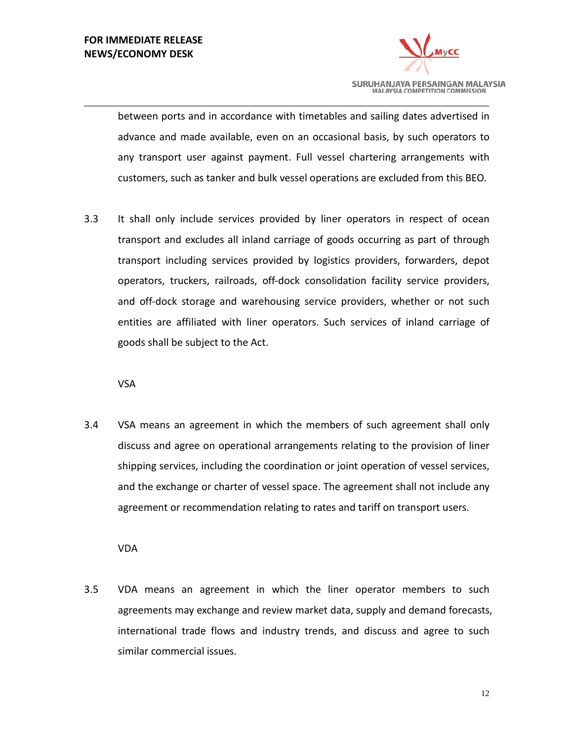

between ports and in accordance with timetables and sailing dates advertised in advance and made available, even on an occasional basis, by such operators to any transport user against payment. Full vessel chartering arrangements with customers, such as tanker and bulk vessel operations are excluded from this BEO.

3.3 It shall only include services provided by liner operators in respect of ocean transport and excludes all inland carriage of goods occurring as part of through transport including services provided by logistics providers, forwarders, depot operators, truckers, railroads, off-dock consolidation facility service providers, and off-dock storage and warehousing service providers, whether or not such entities are affiliated with liner operators. Such services of inland carriage of goods shall be subject to the Act.

VSA

3.4 VSA means an agreement in which the members of such agreement shall only discuss and agree on operational arrangements relating to the provision of liner shipping services, including the coordination or joint operation of vessel services, and the exchange or charter of vessel space. The agreement shall not include any agreement or recommendation relating to rates and tariff on transport users.

VDA

3.5 VDA means an agreement in which the liner operator members to such agreements may exchange and review market data, supply and demand forecasts, international trade flows and industry trends, and discuss and agree to such similar commercial issues.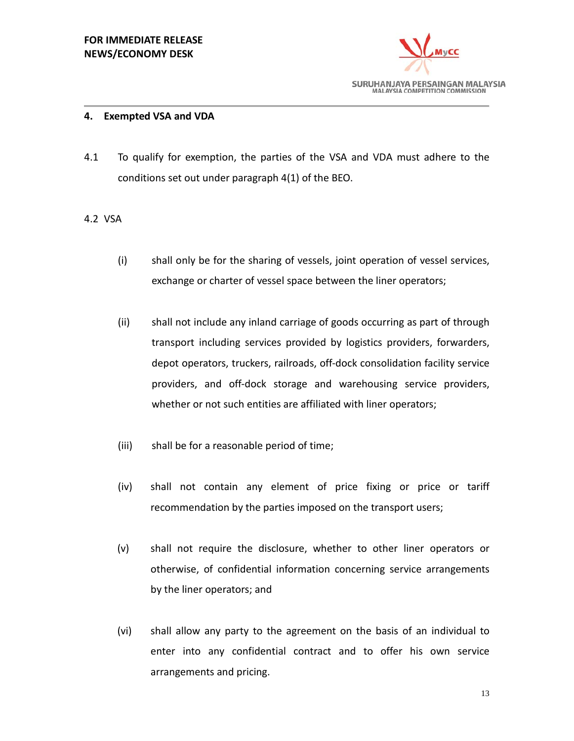

## **4. Exempted VSA and VDA**

4.1 To qualify for exemption, the parties of the VSA and VDA must adhere to the conditions set out under paragraph 4(1) of the BEO.

## 4.2 VSA

- (i) shall only be for the sharing of vessels, joint operation of vessel services, exchange or charter of vessel space between the liner operators;
- (ii) shall not include any inland carriage of goods occurring as part of through transport including services provided by logistics providers, forwarders, depot operators, truckers, railroads, off-dock consolidation facility service providers, and off-dock storage and warehousing service providers, whether or not such entities are affiliated with liner operators;
- (iii) shall be for a reasonable period of time;
- (iv) shall not contain any element of price fixing or price or tariff recommendation by the parties imposed on the transport users;
- (v) shall not require the disclosure, whether to other liner operators or otherwise, of confidential information concerning service arrangements by the liner operators; and
- (vi) shall allow any party to the agreement on the basis of an individual to enter into any confidential contract and to offer his own service arrangements and pricing.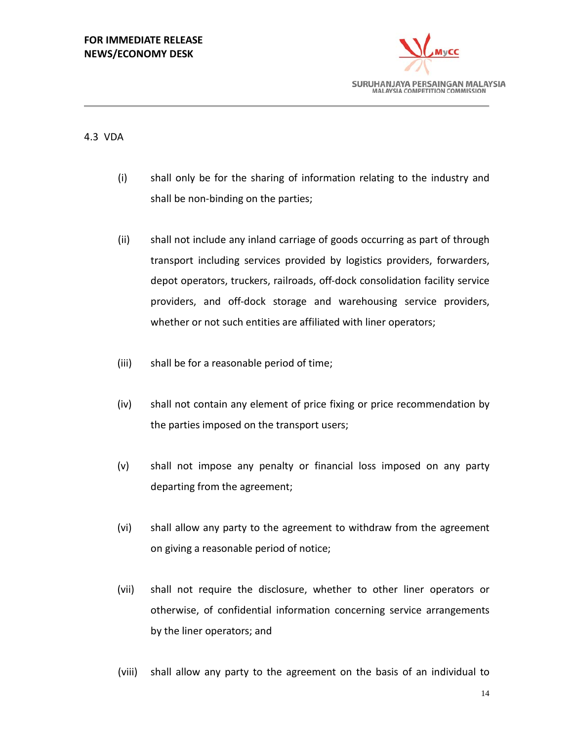# **FOR IMMEDIATE RELEASE NEWS/ECONOMY DESK**



# 4.3 VDA

- (i) shall only be for the sharing of information relating to the industry and shall be non-binding on the parties;
- (ii) shall not include any inland carriage of goods occurring as part of through transport including services provided by logistics providers, forwarders, depot operators, truckers, railroads, off-dock consolidation facility service providers, and off-dock storage and warehousing service providers, whether or not such entities are affiliated with liner operators;
- (iii) shall be for a reasonable period of time;
- (iv) shall not contain any element of price fixing or price recommendation by the parties imposed on the transport users;
- (v) shall not impose any penalty or financial loss imposed on any party departing from the agreement;
- (vi) shall allow any party to the agreement to withdraw from the agreement on giving a reasonable period of notice;
- (vii) shall not require the disclosure, whether to other liner operators or otherwise, of confidential information concerning service arrangements by the liner operators; and
- (viii) shall allow any party to the agreement on the basis of an individual to